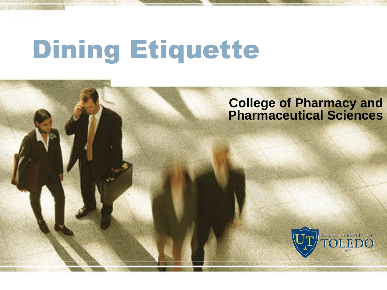# Dining Etiquette

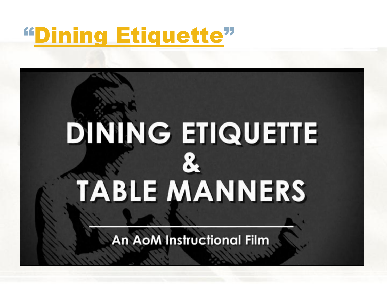#### "[Dining Etiquette](http://www.youtube.com/watch?v=HDTB7jsc0UY)"

# **DINING ETIQUETTE TABLE MANNERS**

**An AoM Instructional Film**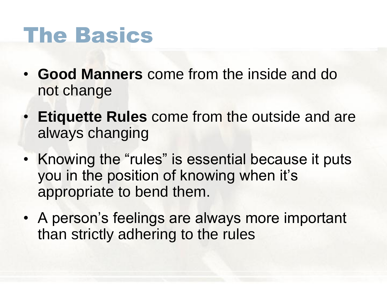#### The Basics

- **Good Manners** come from the inside and do not change
- **Etiquette Rules** come from the outside and are always changing
- Knowing the "rules" is essential because it puts you in the position of knowing when it's appropriate to bend them.
- A person's feelings are always more important than strictly adhering to the rules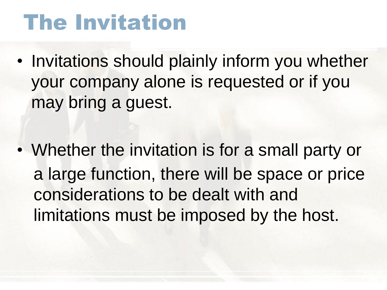# The Invitation

- Invitations should plainly inform you whether your company alone is requested or if you may bring a guest.
- Whether the invitation is for a small party or a large function, there will be space or price considerations to be dealt with and limitations must be imposed by the host.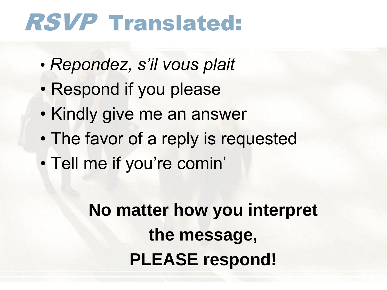# RSVP Translated:

- *Repondez, s'il vous plait*
- Respond if you please
- Kindly give me an answer
- The favor of a reply is requested
- Tell me if you're comin'

**No matter how you interpret the message, PLEASE respond!**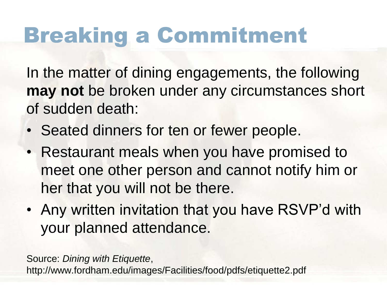# Breaking a Commitment

In the matter of dining engagements, the following **may not** be broken under any circumstances short of sudden death:

- Seated dinners for ten or fewer people.
- Restaurant meals when you have promised to meet one other person and cannot notify him or her that you will not be there.
- Any written invitation that you have RSVP'd with your planned attendance.

Source: *Dining with Etiquette*, http://www.fordham.edu/images/Facilities/food/pdfs/etiquette2.pdf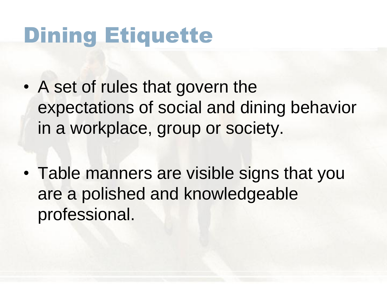# Dining Etiquette

- A set of rules that govern the expectations of social and dining behavior in a workplace, group or society.
- Table manners are visible signs that you are a polished and knowledgeable professional.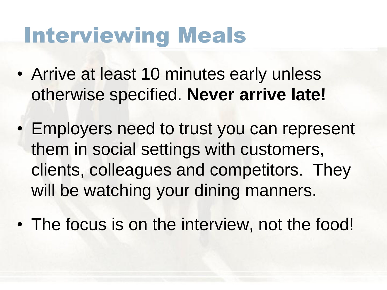#### Interviewing Meals

- Arrive at least 10 minutes early unless otherwise specified. **Never arrive late!**
- Employers need to trust you can represent them in social settings with customers, clients, colleagues and competitors. They will be watching your dining manners.
- The focus is on the interview, not the food!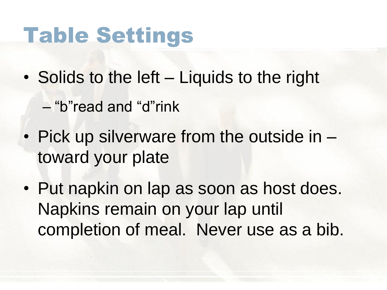#### Table Settings

- Solids to the left Liquids to the right
	- "b"read and "d"rink
- Pick up silverware from the outside in toward your plate
- Put napkin on lap as soon as host does. Napkins remain on your lap until completion of meal. Never use as a bib.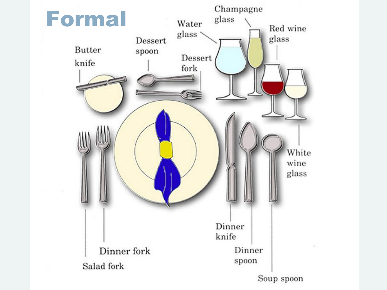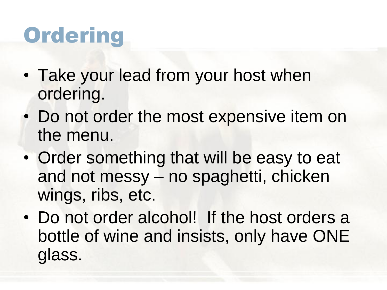# **Ordering**

- Take your lead from your host when ordering.
- Do not order the most expensive item on the menu.
- Order something that will be easy to eat and not messy – no spaghetti, chicken wings, ribs, etc.
- Do not order alcohol! If the host orders a bottle of wine and insists, only have ONE glass.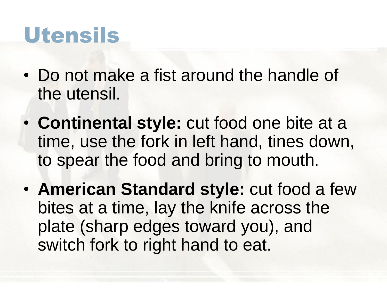#### Utensils

- Do not make a fist around the handle of the utensil.
- **Continental style:** cut food one bite at a time, use the fork in left hand, tines down, to spear the food and bring to mouth.
- **American Standard style:** cut food a few bites at a time, lay the knife across the plate (sharp edges toward you), and switch fork to right hand to eat.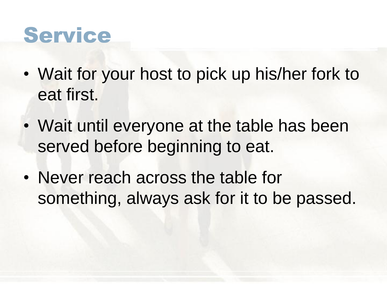#### Service

- Wait for your host to pick up his/her fork to eat first.
- Wait until everyone at the table has been served before beginning to eat.
- Never reach across the table for something, always ask for it to be passed.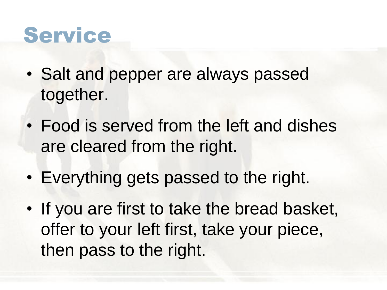#### Service

- Salt and pepper are always passed together.
- Food is served from the left and dishes are cleared from the right.
- Everything gets passed to the right.
- If you are first to take the bread basket, offer to your left first, take your piece, then pass to the right.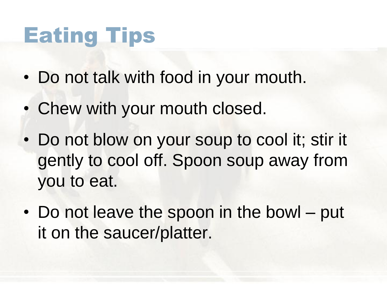# Eating Tips

- Do not talk with food in your mouth.
- Chew with your mouth closed.
- Do not blow on your soup to cool it; stir it gently to cool off. Spoon soup away from you to eat.
- Do not leave the spoon in the bowl put it on the saucer/platter.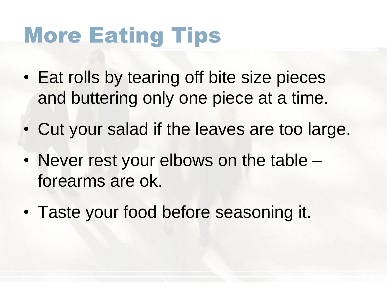# More Eating Tips

- Eat rolls by tearing off bite size pieces and buttering only one piece at a time.
- Cut your salad if the leaves are too large.
- Never rest your elbows on the table forearms are ok.
- Taste your food before seasoning it.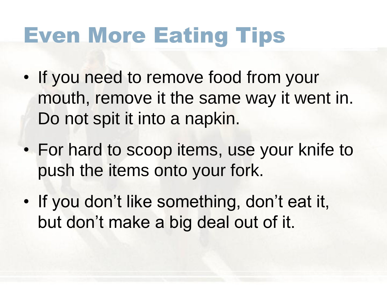# Even More Eating Tips

- If you need to remove food from your mouth, remove it the same way it went in. Do not spit it into a napkin.
- For hard to scoop items, use your knife to push the items onto your fork.
- If you don't like something, don't eat it, but don't make a big deal out of it.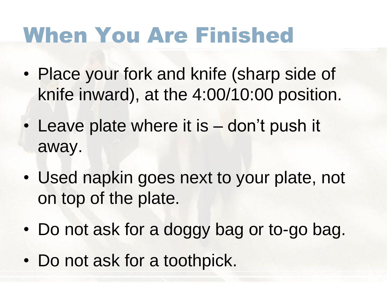# When You Are Finished

- Place your fork and knife (sharp side of knife inward), at the 4:00/10:00 position.
- Leave plate where it is don't push it away.
- Used napkin goes next to your plate, not on top of the plate.
- Do not ask for a doggy bag or to-go bag.
- Do not ask for a toothpick.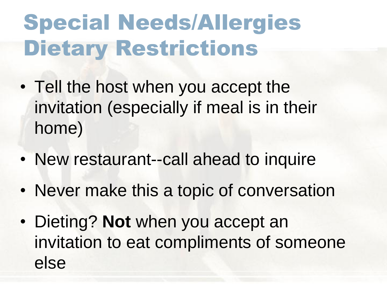# Special Needs/Allergies Dietary Restrictions

- Tell the host when you accept the invitation (especially if meal is in their home)
- New restaurant--call ahead to inquire
- Never make this a topic of conversation
- Dieting? **Not** when you accept an invitation to eat compliments of someone else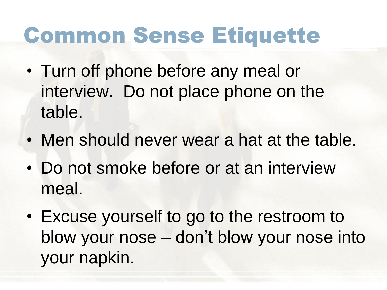# Common Sense Etiquette

- Turn off phone before any meal or interview. Do not place phone on the table.
- Men should never wear a hat at the table.
- Do not smoke before or at an interview meal.
- Excuse yourself to go to the restroom to blow your nose – don't blow your nose into your napkin.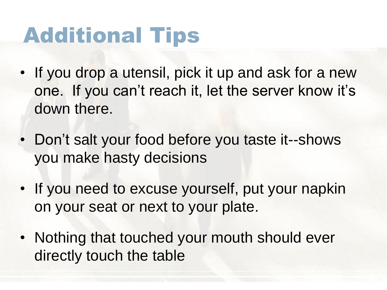# Additional Tips

- If you drop a utensil, pick it up and ask for a new one. If you can't reach it, let the server know it's down there.
- Don't salt your food before you taste it--shows you make hasty decisions
- If you need to excuse yourself, put your napkin on your seat or next to your plate.
- Nothing that touched your mouth should ever directly touch the table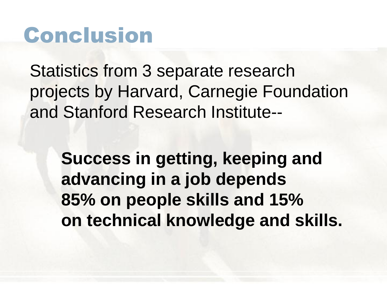#### Conclusion

Statistics from 3 separate research projects by Harvard, Carnegie Foundation and Stanford Research Institute--

**Success in getting, keeping and advancing in a job depends 85% on people skills and 15% on technical knowledge and skills.**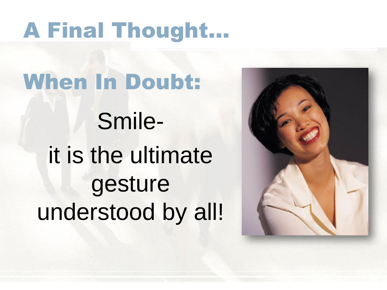# A Final Thought…

When In Doubt: Smileit is the ultimate gesture understood by all!